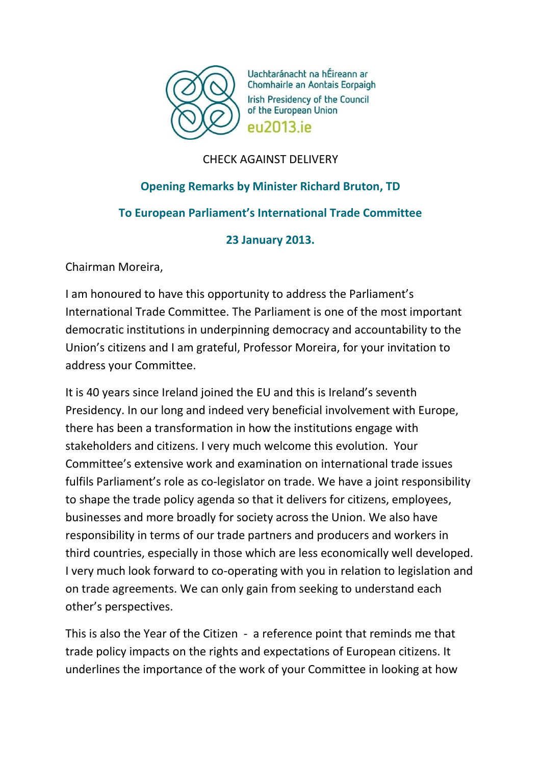

Uachtaránacht na hÉireann ar Chomhairle an Aontais Eorpaigh **Irish Presidency of the Council** of the European Union **PU2013** iP

# CHECK AGAINST DELIVERY

# **Opening Remarks by Minister Richard Bruton, TD To European Parliament's International Trade Committee**

# **23 January 2013.**

Chairman Moreira,

I am honoured to have this opportunity to address the Parliament's International Trade Committee. The Parliament is one of the most important democratic institutions in underpinning democracy and accountability to the Union's citizens and I am grateful, Professor Moreira, for your invitation to address your Committee.

It is 40 years since Ireland joined the EU and this is Ireland's seventh Presidency. In our long and indeed very beneficial involvement with Europe, there has been a transformation in how the institutions engage with stakeholders and citizens. I very much welcome this evolution. Your Committee's extensive work and examination on international trade issues fulfils Parliament's role as co-legislator on trade. We have a joint responsibility to shape the trade policy agenda so that it delivers for citizens, employees, businesses and more broadly for society across the Union. We also have responsibility in terms of our trade partners and producers and workers in third countries, especially in those which are less economically well developed. I very much look forward to co-operating with you in relation to legislation and on trade agreements. We can only gain from seeking to understand each other's perspectives.

This is also the Year of the Citizen - a reference point that reminds me that trade policy impacts on the rights and expectations of European citizens. It underlines the importance of the work of your Committee in looking at how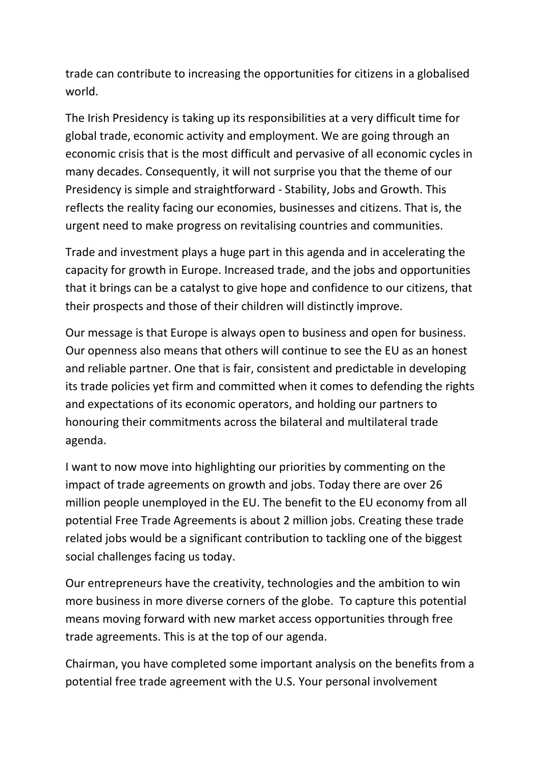trade can contribute to increasing the opportunities for citizens in a globalised world.

The Irish Presidency is taking up its responsibilities at a very difficult time for global trade, economic activity and employment. We are going through an economic crisis that is the most difficult and pervasive of all economic cycles in many decades. Consequently, it will not surprise you that the theme of our Presidency is simple and straightforward - Stability, Jobs and Growth. This reflects the reality facing our economies, businesses and citizens. That is, the urgent need to make progress on revitalising countries and communities.

Trade and investment plays a huge part in this agenda and in accelerating the capacity for growth in Europe. Increased trade, and the jobs and opportunities that it brings can be a catalyst to give hope and confidence to our citizens, that their prospects and those of their children will distinctly improve.

Our message is that Europe is always open to business and open for business. Our openness also means that others will continue to see the EU as an honest and reliable partner. One that is fair, consistent and predictable in developing its trade policies yet firm and committed when it comes to defending the rights and expectations of its economic operators, and holding our partners to honouring their commitments across the bilateral and multilateral trade agenda.

I want to now move into highlighting our priorities by commenting on the impact of trade agreements on growth and jobs. Today there are over 26 million people unemployed in the EU. The benefit to the EU economy from all potential Free Trade Agreements is about 2 million jobs. Creating these trade related jobs would be a significant contribution to tackling one of the biggest social challenges facing us today.

Our entrepreneurs have the creativity, technologies and the ambition to win more business in more diverse corners of the globe. To capture this potential means moving forward with new market access opportunities through free trade agreements. This is at the top of our agenda.

Chairman, you have completed some important analysis on the benefits from a potential free trade agreement with the U.S. Your personal involvement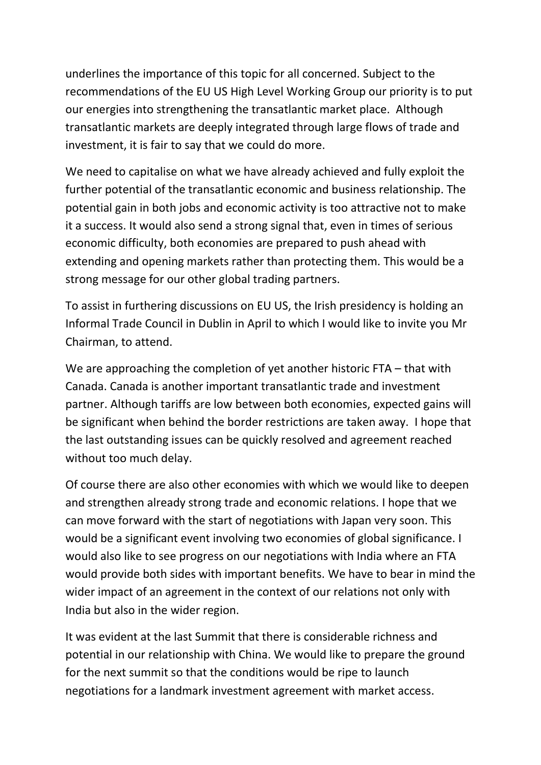underlines the importance of this topic for all concerned. Subject to the recommendations of the EU US High Level Working Group our priority is to put our energies into strengthening the transatlantic market place. Although transatlantic markets are deeply integrated through large flows of trade and investment, it is fair to say that we could do more.

We need to capitalise on what we have already achieved and fully exploit the further potential of the transatlantic economic and business relationship. The potential gain in both jobs and economic activity is too attractive not to make it a success. It would also send a strong signal that, even in times of serious economic difficulty, both economies are prepared to push ahead with extending and opening markets rather than protecting them. This would be a strong message for our other global trading partners.

To assist in furthering discussions on EU US, the Irish presidency is holding an Informal Trade Council in Dublin in April to which I would like to invite you Mr Chairman, to attend.

We are approaching the completion of yet another historic FTA – that with Canada. Canada is another important transatlantic trade and investment partner. Although tariffs are low between both economies, expected gains will be significant when behind the border restrictions are taken away. I hope that the last outstanding issues can be quickly resolved and agreement reached without too much delay.

Of course there are also other economies with which we would like to deepen and strengthen already strong trade and economic relations. I hope that we can move forward with the start of negotiations with Japan very soon. This would be a significant event involving two economies of global significance. I would also like to see progress on our negotiations with India where an FTA would provide both sides with important benefits. We have to bear in mind the wider impact of an agreement in the context of our relations not only with India but also in the wider region.

It was evident at the last Summit that there is considerable richness and potential in our relationship with China. We would like to prepare the ground for the next summit so that the conditions would be ripe to launch negotiations for a landmark investment agreement with market access.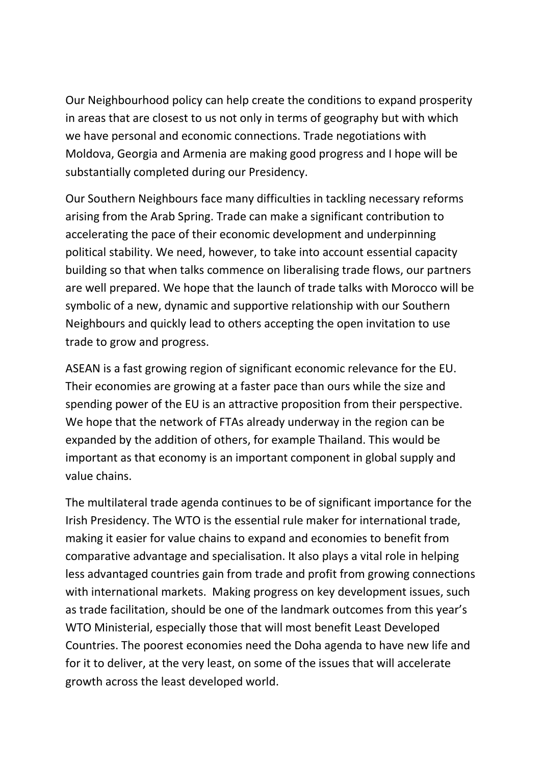Our Neighbourhood policy can help create the conditions to expand prosperity in areas that are closest to us not only in terms of geography but with which we have personal and economic connections. Trade negotiations with Moldova, Georgia and Armenia are making good progress and I hope will be substantially completed during our Presidency.

Our Southern Neighbours face many difficulties in tackling necessary reforms arising from the Arab Spring. Trade can make a significant contribution to accelerating the pace of their economic development and underpinning political stability. We need, however, to take into account essential capacity building so that when talks commence on liberalising trade flows, our partners are well prepared. We hope that the launch of trade talks with Morocco will be symbolic of a new, dynamic and supportive relationship with our Southern Neighbours and quickly lead to others accepting the open invitation to use trade to grow and progress.

ASEAN is a fast growing region of significant economic relevance for the EU. Their economies are growing at a faster pace than ours while the size and spending power of the EU is an attractive proposition from their perspective. We hope that the network of FTAs already underway in the region can be expanded by the addition of others, for example Thailand. This would be important as that economy is an important component in global supply and value chains.

The multilateral trade agenda continues to be of significant importance for the Irish Presidency. The WTO is the essential rule maker for international trade, making it easier for value chains to expand and economies to benefit from comparative advantage and specialisation. It also plays a vital role in helping less advantaged countries gain from trade and profit from growing connections with international markets. Making progress on key development issues, such as trade facilitation, should be one of the landmark outcomes from this year's WTO Ministerial, especially those that will most benefit Least Developed Countries. The poorest economies need the Doha agenda to have new life and for it to deliver, at the very least, on some of the issues that will accelerate growth across the least developed world.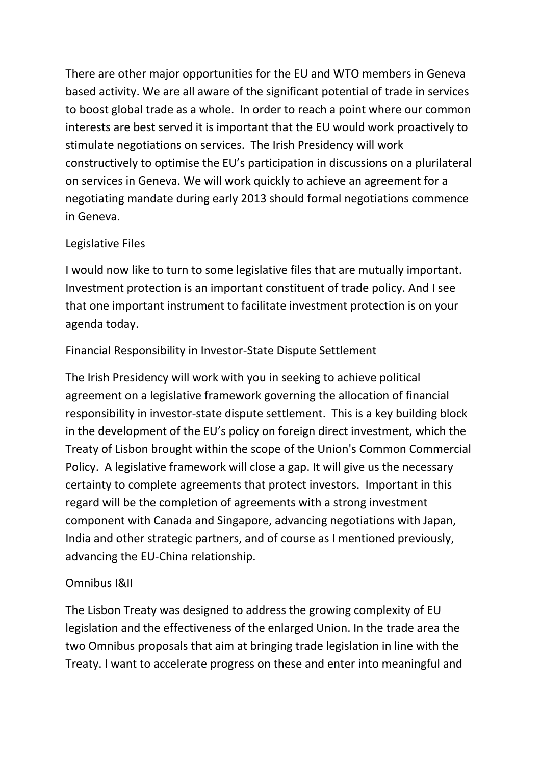There are other major opportunities for the EU and WTO members in Geneva based activity. We are all aware of the significant potential of trade in services to boost global trade as a whole. In order to reach a point where our common interests are best served it is important that the EU would work proactively to stimulate negotiations on services. The Irish Presidency will work constructively to optimise the EU's participation in discussions on a plurilateral on services in Geneva. We will work quickly to achieve an agreement for a negotiating mandate during early 2013 should formal negotiations commence in Geneva.

### Legislative Files

I would now like to turn to some legislative files that are mutually important. Investment protection is an important constituent of trade policy. And I see that one important instrument to facilitate investment protection is on your agenda today.

### Financial Responsibility in Investor-State Dispute Settlement

The Irish Presidency will work with you in seeking to achieve political agreement on a legislative framework governing the allocation of financial responsibility in investor-state dispute settlement. This is a key building block in the development of the EU's policy on foreign direct investment, which the Treaty of Lisbon brought within the scope of the Union's Common Commercial Policy. A legislative framework will close a gap. It will give us the necessary certainty to complete agreements that protect investors. Important in this regard will be the completion of agreements with a strong investment component with Canada and Singapore, advancing negotiations with Japan, India and other strategic partners, and of course as I mentioned previously, advancing the EU-China relationship.

# Omnibus I&II

The Lisbon Treaty was designed to address the growing complexity of EU legislation and the effectiveness of the enlarged Union. In the trade area the two Omnibus proposals that aim at bringing trade legislation in line with the Treaty. I want to accelerate progress on these and enter into meaningful and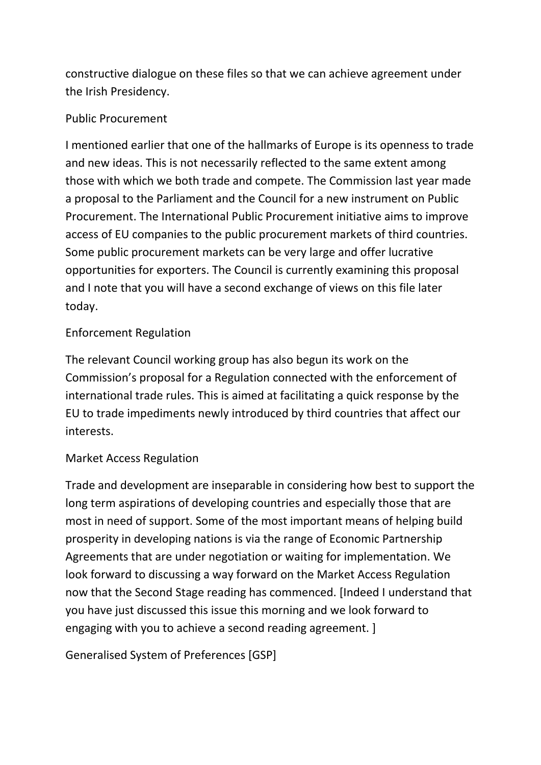constructive dialogue on these files so that we can achieve agreement under the Irish Presidency.

### Public Procurement

I mentioned earlier that one of the hallmarks of Europe is its openness to trade and new ideas. This is not necessarily reflected to the same extent among those with which we both trade and compete. The Commission last year made a proposal to the Parliament and the Council for a new instrument on Public Procurement. The International Public Procurement initiative aims to improve access of EU companies to the public procurement markets of third countries. Some public procurement markets can be very large and offer lucrative opportunities for exporters. The Council is currently examining this proposal and I note that you will have a second exchange of views on this file later today.

# Enforcement Regulation

The relevant Council working group has also begun its work on the Commission's proposal for a Regulation connected with the enforcement of international trade rules. This is aimed at facilitating a quick response by the EU to trade impediments newly introduced by third countries that affect our interests.

# Market Access Regulation

Trade and development are inseparable in considering how best to support the long term aspirations of developing countries and especially those that are most in need of support. Some of the most important means of helping build prosperity in developing nations is via the range of Economic Partnership Agreements that are under negotiation or waiting for implementation. We look forward to discussing a way forward on the Market Access Regulation now that the Second Stage reading has commenced. [Indeed I understand that you have just discussed this issue this morning and we look forward to engaging with you to achieve a second reading agreement. ]

Generalised System of Preferences [GSP]